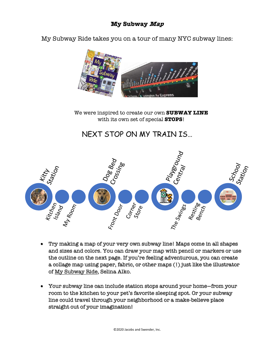My Subway Ride takes you on a tour of many NYC subway lines:



We were inspired to create our own **SUBWAY LINE** with its own set of special **STOPS**!

## NEXT STOP ON MY TRAIN IS…



- Try making a map of your very own subway line! Maps come in all shapes and sizes and colors. You can draw your map with pencil or markers or use the outline on the next page. If you're feeling adventurous, you can create a collage map using paper, fabric, or other maps (!) just like the illustrator of My Subway Ride, Selina Alko.
- Your subway line can include station stops around your home—from your room to the kitchen to your pet's favorite sleeping spot. Or your subway line could travel through your neighborhood or a make-believe place straight out of your imagination!